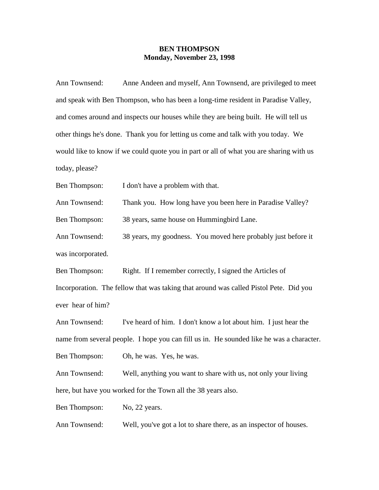## **BEN THOMPSON Monday, November 23, 1998**

Ann Townsend: Anne Andeen and myself, Ann Townsend, are privileged to meet and speak with Ben Thompson, who has been a long-time resident in Paradise Valley, and comes around and inspects our houses while they are being built. He will tell us other things he's done. Thank you for letting us come and talk with you today. We would like to know if we could quote you in part or all of what you are sharing with us today, please?

Ben Thompson: I don't have a problem with that.

Ann Townsend: Thank you. How long have you been here in Paradise Valley?

Ben Thompson: 38 years, same house on Hummingbird Lane.

Ann Townsend: 38 years, my goodness. You moved here probably just before it was incorporated.

Ben Thompson: Right. If I remember correctly, I signed the Articles of Incorporation. The fellow that was taking that around was called Pistol Pete. Did you ever hear of him?

Ann Townsend: I've heard of him. I don't know a lot about him. I just hear the name from several people. I hope you can fill us in. He sounded like he was a character. Ben Thompson: Oh, he was. Yes, he was.

Ann Townsend: Well, anything you want to share with us, not only your living here, but have you worked for the Town all the 38 years also.

Ben Thompson: No, 22 years.

Ann Townsend: Well, you've got a lot to share there, as an inspector of houses.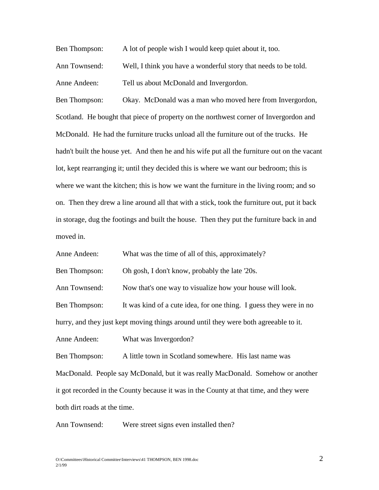Ben Thompson: A lot of people wish I would keep quiet about it, too.

Ann Townsend: Well, I think you have a wonderful story that needs to be told. Anne Andeen: Tell us about McDonald and Invergordon.

Ben Thompson: Okay. McDonald was a man who moved here from Invergordon, Scotland. He bought that piece of property on the northwest corner of Invergordon and McDonald. He had the furniture trucks unload all the furniture out of the trucks. He hadn't built the house yet. And then he and his wife put all the furniture out on the vacant lot, kept rearranging it; until they decided this is where we want our bedroom; this is where we want the kitchen; this is how we want the furniture in the living room; and so on. Then they drew a line around all that with a stick, took the furniture out, put it back in storage, dug the footings and built the house. Then they put the furniture back in and moved in.

Anne Andeen: What was the time of all of this, approximately?

Ben Thompson: Oh gosh, I don't know, probably the late '20s.

Ann Townsend: Now that's one way to visualize how your house will look.

Ben Thompson: It was kind of a cute idea, for one thing. I guess they were in no

hurry, and they just kept moving things around until they were both agreeable to it.

Anne Andeen: What was Invergordon?

Ben Thompson: A little town in Scotland somewhere. His last name was MacDonald. People say McDonald, but it was really MacDonald. Somehow or another it got recorded in the County because it was in the County at that time, and they were both dirt roads at the time.

Ann Townsend: Were street signs even installed then?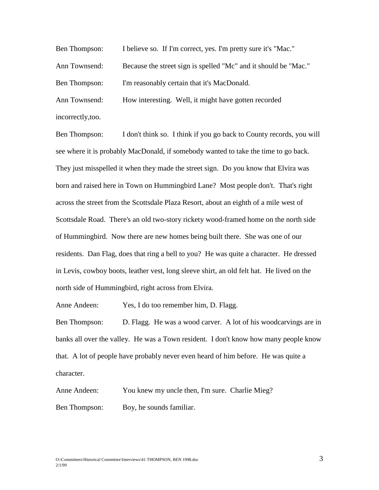Ben Thompson: I believe so. If I'm correct, yes. I'm pretty sure it's "Mac." Ann Townsend: Because the street sign is spelled "Mc" and it should be "Mac." Ben Thompson: I'm reasonably certain that it's MacDonald. Ann Townsend: How interesting. Well, it might have gotten recorded incorrectly,too.

Ben Thompson: I don't think so. I think if you go back to County records, you will see where it is probably MacDonald, if somebody wanted to take the time to go back. They just misspelled it when they made the street sign. Do you know that Elvira was born and raised here in Town on Hummingbird Lane? Most people don't. That's right across the street from the Scottsdale Plaza Resort, about an eighth of a mile west of Scottsdale Road. There's an old two-story rickety wood-framed home on the north side of Hummingbird. Now there are new homes being built there. She was one of our residents. Dan Flag, does that ring a bell to you? He was quite a character. He dressed in Levis, cowboy boots, leather vest, long sleeve shirt, an old felt hat. He lived on the north side of Hummingbird, right across from Elvira.

Anne Andeen: Yes, I do too remember him, D. Flagg.

Ben Thompson: D. Flagg. He was a wood carver. A lot of his woodcarvings are in banks all over the valley. He was a Town resident. I don't know how many people know that. A lot of people have probably never even heard of him before. He was quite a character.

Anne Andeen: You knew my uncle then, I'm sure. Charlie Mieg? Ben Thompson: Boy, he sounds familiar.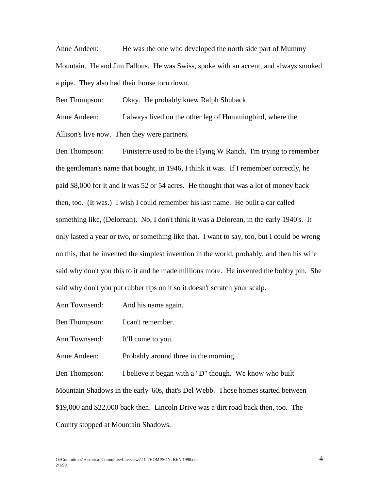Anne Andeen: He was the one who developed the north side part of Mummy Mountain. He and Jim Fallous. He was Swiss, spoke with an accent, and always smoked a pipe. They also had their house torn down.

Ben Thompson: Okay. He probably knew Ralph Shuback.

Anne Andeen: I always lived on the other leg of Hummingbird, where the Allison's live now. Then they were partners.

Ben Thompson: Finisterre used to be the Flying W Ranch. I'm trying to remember the gentleman's name that bought, in 1946, I think it was. If I remember correctly, he paid \$8,000 for it and it was 52 or 54 acres. He thought that was a lot of money back then, too. (It was.) I wish I could remember his last name. He built a car called something like, (Delorean). No, I don't think it was a Delorean, in the early 1940's. It only lasted a year or two, or something like that. I want to say, too, but I could be wrong on this, that he invented the simplest invention in the world, probably, and then his wife said why don't you this to it and he made millions more. He invented the bobby pin. She said why don't you put rubber tips on it so it doesn't scratch your scalp.

Ann Townsend: And his name again.

Ben Thompson: I can't remember.

Ann Townsend: It'll come to you.

Anne Andeen: Probably around three in the morning.

Ben Thompson: I believe it began with a "D" though. We know who built Mountain Shadows in the early '60s, that's Del Webb. Those homes started between \$19,000 and \$22,000 back then. Lincoln Drive was a dirt road back then, too. The County stopped at Mountain Shadows.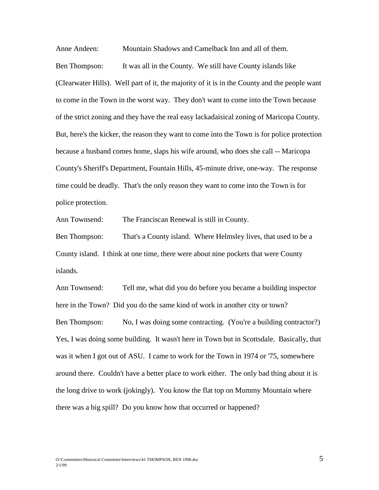Anne Andeen: Mountain Shadows and Camelback Inn and all of them. Ben Thompson: It was all in the County. We still have County islands like (Clearwater Hills). Well part of it, the majority of it is in the County and the people want to come in the Town in the worst way. They don't want to come into the Town because of the strict zoning and they have the real easy lackadaisical zoning of Maricopa County. But, here's the kicker, the reason they want to come into the Town is for police protection because a husband comes home, slaps his wife around, who does she call -- Maricopa County's Sheriff's Department, Fountain Hills, 45-minute drive, one-way. The response time could be deadly. That's the only reason they want to come into the Town is for police protection.

Ann Townsend: The Franciscan Renewal is still in County.

Ben Thompson: That's a County island. Where Helmsley lives, that used to be a County island. I think at one time, there were about nine pockets that were County islands.

Ann Townsend: Tell me, what did you do before you became a building inspector here in the Town? Did you do the same kind of work in another city or town? Ben Thompson: No, I was doing some contracting. (You're a building contractor?) Yes, I was doing some building. It wasn't here in Town but in Scottsdale. Basically, that was it when I got out of ASU. I came to work for the Town in 1974 or '75, somewhere around there. Couldn't have a better place to work either. The only bad thing about it is the long drive to work (jokingly). You know the flat top on Mummy Mountain where there was a big spill? Do you know how that occurred or happened?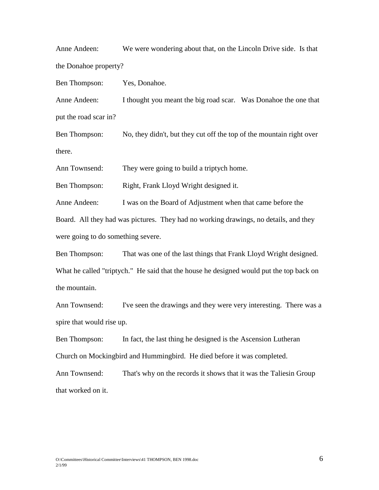Anne Andeen: We were wondering about that, on the Lincoln Drive side. Is that the Donahoe property?

Ben Thompson: Yes, Donahoe.

Anne Andeen: I thought you meant the big road scar. Was Donahoe the one that put the road scar in?

Ben Thompson: No, they didn't, but they cut off the top of the mountain right over there.

Ann Townsend: They were going to build a triptych home.

Ben Thompson: Right, Frank Lloyd Wright designed it.

Anne Andeen: I was on the Board of Adjustment when that came before the

Board. All they had was pictures. They had no working drawings, no details, and they were going to do something severe.

Ben Thompson: That was one of the last things that Frank Lloyd Wright designed. What he called "triptych." He said that the house he designed would put the top back on the mountain.

Ann Townsend: I've seen the drawings and they were very interesting. There was a spire that would rise up.

Ben Thompson: In fact, the last thing he designed is the Ascension Lutheran Church on Mockingbird and Hummingbird. He died before it was completed.

Ann Townsend: That's why on the records it shows that it was the Taliesin Group that worked on it.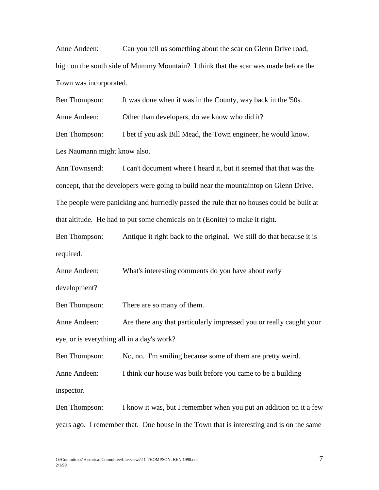Anne Andeen: Can you tell us something about the scar on Glenn Drive road, high on the south side of Mummy Mountain? I think that the scar was made before the Town was incorporated.

Ben Thompson: It was done when it was in the County, way back in the '50s.

Anne Andeen: Other than developers, do we know who did it?

Ben Thompson: I bet if you ask Bill Mead, the Town engineer, he would know.

Les Naumann might know also.

Ann Townsend: I can't document where I heard it, but it seemed that that was the concept, that the developers were going to build near the mountaintop on Glenn Drive. The people were panicking and hurriedly passed the rule that no houses could be built at that altitude. He had to put some chemicals on it (Eonite) to make it right.

Ben Thompson: Antique it right back to the original. We still do that because it is required.

Anne Andeen: What's interesting comments do you have about early

development?

Ben Thompson: There are so many of them.

Anne Andeen: Are there any that particularly impressed you or really caught your eye, or is everything all in a day's work?

Ben Thompson: No, no. I'm smiling because some of them are pretty weird. Anne Andeen: I think our house was built before you came to be a building inspector.

Ben Thompson: I know it was, but I remember when you put an addition on it a few years ago. I remember that. One house in the Town that is interesting and is on the same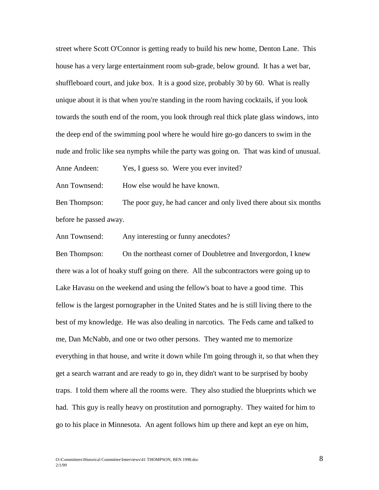street where Scott O'Connor is getting ready to build his new home, Denton Lane. This house has a very large entertainment room sub-grade, below ground. It has a wet bar, shuffleboard court, and juke box. It is a good size, probably 30 by 60. What is really unique about it is that when you're standing in the room having cocktails, if you look towards the south end of the room, you look through real thick plate glass windows, into the deep end of the swimming pool where he would hire go-go dancers to swim in the nude and frolic like sea nymphs while the party was going on. That was kind of unusual.

Anne Andeen: Yes, I guess so. Were you ever invited?

Ann Townsend: How else would he have known.

Ben Thompson: The poor guy, he had cancer and only lived there about six months before he passed away.

Ann Townsend: Any interesting or funny anecdotes?

Ben Thompson: On the northeast corner of Doubletree and Invergordon, I knew there was a lot of hoaky stuff going on there. All the subcontractors were going up to Lake Havasu on the weekend and using the fellow's boat to have a good time. This fellow is the largest pornographer in the United States and he is still living there to the best of my knowledge. He was also dealing in narcotics. The Feds came and talked to me, Dan McNabb, and one or two other persons. They wanted me to memorize everything in that house, and write it down while I'm going through it, so that when they get a search warrant and are ready to go in, they didn't want to be surprised by booby traps. I told them where all the rooms were. They also studied the blueprints which we had. This guy is really heavy on prostitution and pornography. They waited for him to go to his place in Minnesota. An agent follows him up there and kept an eye on him,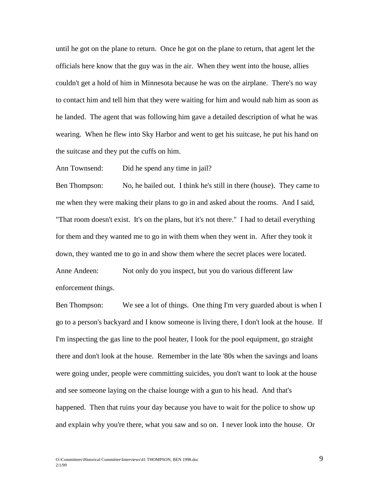until he got on the plane to return. Once he got on the plane to return, that agent let the officials here know that the guy was in the air. When they went into the house, allies couldn't get a hold of him in Minnesota because he was on the airplane. There's no way to contact him and tell him that they were waiting for him and would nab him as soon as he landed. The agent that was following him gave a detailed description of what he was wearing. When he flew into Sky Harbor and went to get his suitcase, he put his hand on the suitcase and they put the cuffs on him.

Ann Townsend: Did he spend any time in jail?

Ben Thompson: No, he bailed out. I think he's still in there (house). They came to me when they were making their plans to go in and asked about the rooms. And I said, "That room doesn't exist. It's on the plans, but it's not there." I had to detail everything for them and they wanted me to go in with them when they went in. After they took it down, they wanted me to go in and show them where the secret places were located. Anne Andeen: Not only do you inspect, but you do various different law enforcement things.

Ben Thompson: We see a lot of things. One thing I'm very guarded about is when I go to a person's backyard and I know someone is living there, I don't look at the house. If I'm inspecting the gas line to the pool heater, I look for the pool equipment, go straight there and don't look at the house. Remember in the late '80s when the savings and loans were going under, people were committing suicides, you don't want to look at the house and see someone laying on the chaise lounge with a gun to his head. And that's happened. Then that ruins your day because you have to wait for the police to show up and explain why you're there, what you saw and so on. I never look into the house. Or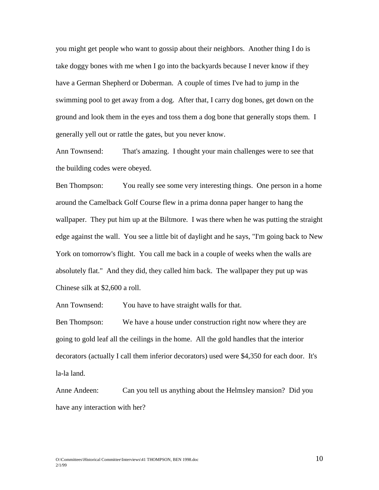you might get people who want to gossip about their neighbors. Another thing I do is take doggy bones with me when I go into the backyards because I never know if they have a German Shepherd or Doberman. A couple of times I've had to jump in the swimming pool to get away from a dog. After that, I carry dog bones, get down on the ground and look them in the eyes and toss them a dog bone that generally stops them. I generally yell out or rattle the gates, but you never know.

Ann Townsend: That's amazing. I thought your main challenges were to see that the building codes were obeyed.

Ben Thompson: You really see some very interesting things. One person in a home around the Camelback Golf Course flew in a prima donna paper hanger to hang the wallpaper. They put him up at the Biltmore. I was there when he was putting the straight edge against the wall. You see a little bit of daylight and he says, "I'm going back to New York on tomorrow's flight. You call me back in a couple of weeks when the walls are absolutely flat." And they did, they called him back. The wallpaper they put up was Chinese silk at \$2,600 a roll.

Ann Townsend: You have to have straight walls for that.

Ben Thompson: We have a house under construction right now where they are going to gold leaf all the ceilings in the home. All the gold handles that the interior decorators (actually I call them inferior decorators) used were \$4,350 for each door. It's la-la land.

Anne Andeen: Can you tell us anything about the Helmsley mansion? Did you have any interaction with her?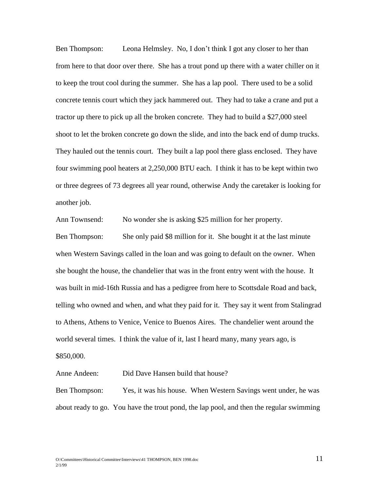Ben Thompson: Leona Helmsley. No, I don't think I got any closer to her than from here to that door over there. She has a trout pond up there with a water chiller on it to keep the trout cool during the summer. She has a lap pool. There used to be a solid concrete tennis court which they jack hammered out. They had to take a crane and put a tractor up there to pick up all the broken concrete. They had to build a \$27,000 steel shoot to let the broken concrete go down the slide, and into the back end of dump trucks. They hauled out the tennis court. They built a lap pool there glass enclosed. They have four swimming pool heaters at 2,250,000 BTU each. I think it has to be kept within two or three degrees of 73 degrees all year round, otherwise Andy the caretaker is looking for another job.

Ann Townsend: No wonder she is asking \$25 million for her property. Ben Thompson: She only paid \$8 million for it. She bought it at the last minute when Western Savings called in the loan and was going to default on the owner. When she bought the house, the chandelier that was in the front entry went with the house. It was built in mid-16th Russia and has a pedigree from here to Scottsdale Road and back, telling who owned and when, and what they paid for it. They say it went from Stalingrad to Athens, Athens to Venice, Venice to Buenos Aires. The chandelier went around the world several times. I think the value of it, last I heard many, many years ago, is \$850,000.

Anne Andeen: Did Dave Hansen build that house?

Ben Thompson: Yes, it was his house. When Western Savings went under, he was about ready to go. You have the trout pond, the lap pool, and then the regular swimming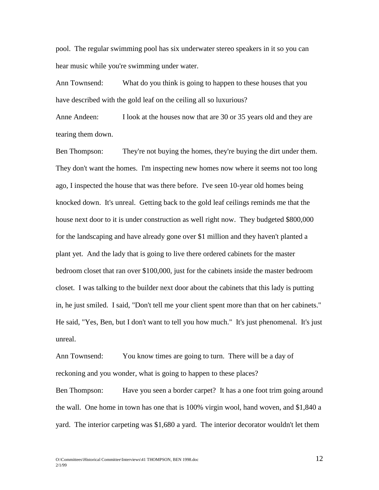pool. The regular swimming pool has six underwater stereo speakers in it so you can hear music while you're swimming under water.

Ann Townsend: What do you think is going to happen to these houses that you have described with the gold leaf on the ceiling all so luxurious?

Anne Andeen: I look at the houses now that are 30 or 35 years old and they are tearing them down.

Ben Thompson: They're not buying the homes, they're buying the dirt under them. They don't want the homes. I'm inspecting new homes now where it seems not too long ago, I inspected the house that was there before. I've seen 10-year old homes being knocked down. It's unreal. Getting back to the gold leaf ceilings reminds me that the house next door to it is under construction as well right now. They budgeted \$800,000 for the landscaping and have already gone over \$1 million and they haven't planted a plant yet. And the lady that is going to live there ordered cabinets for the master bedroom closet that ran over \$100,000, just for the cabinets inside the master bedroom closet. I was talking to the builder next door about the cabinets that this lady is putting in, he just smiled. I said, "Don't tell me your client spent more than that on her cabinets." He said, "Yes, Ben, but I don't want to tell you how much." It's just phenomenal. It's just unreal.

Ann Townsend: You know times are going to turn. There will be a day of reckoning and you wonder, what is going to happen to these places?

Ben Thompson: Have you seen a border carpet? It has a one foot trim going around the wall. One home in town has one that is 100% virgin wool, hand woven, and \$1,840 a yard. The interior carpeting was \$1,680 a yard. The interior decorator wouldn't let them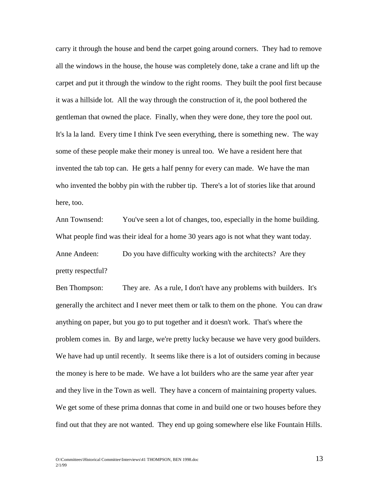carry it through the house and bend the carpet going around corners. They had to remove all the windows in the house, the house was completely done, take a crane and lift up the carpet and put it through the window to the right rooms. They built the pool first because it was a hillside lot. All the way through the construction of it, the pool bothered the gentleman that owned the place. Finally, when they were done, they tore the pool out. It's la la land. Every time I think I've seen everything, there is something new. The way some of these people make their money is unreal too. We have a resident here that invented the tab top can. He gets a half penny for every can made. We have the man who invented the bobby pin with the rubber tip. There's a lot of stories like that around here, too.

Ann Townsend: You've seen a lot of changes, too, especially in the home building. What people find was their ideal for a home 30 years ago is not what they want today. Anne Andeen: Do you have difficulty working with the architects? Are they pretty respectful?

Ben Thompson: They are. As a rule, I don't have any problems with builders. It's generally the architect and I never meet them or talk to them on the phone. You can draw anything on paper, but you go to put together and it doesn't work. That's where the problem comes in. By and large, we're pretty lucky because we have very good builders. We have had up until recently. It seems like there is a lot of outsiders coming in because the money is here to be made. We have a lot builders who are the same year after year and they live in the Town as well. They have a concern of maintaining property values. We get some of these prima donnas that come in and build one or two houses before they find out that they are not wanted. They end up going somewhere else like Fountain Hills.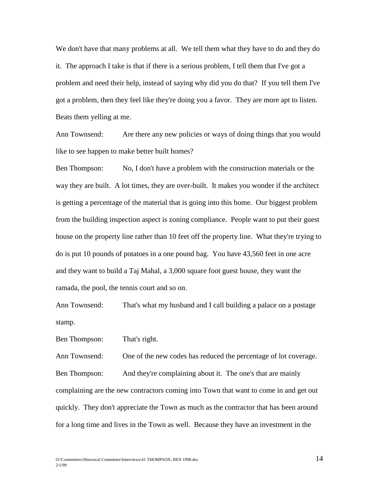We don't have that many problems at all. We tell them what they have to do and they do it. The approach I take is that if there is a serious problem, I tell them that I've got a problem and need their help, instead of saying why did you do that? If you tell them I've got a problem, then they feel like they're doing you a favor. They are more apt to listen. Beats them yelling at me.

Ann Townsend: Are there any new policies or ways of doing things that you would like to see happen to make better built homes?

Ben Thompson: No, I don't have a problem with the construction materials or the way they are built. A lot times, they are over-built. It makes you wonder if the architect is getting a percentage of the material that is going into this home. Our biggest problem from the building inspection aspect is zoning compliance. People want to put their guest house on the property line rather than 10 feet off the property line. What they're trying to do is put 10 pounds of potatoes in a one pound bag. You have 43,560 feet in one acre and they want to build a Taj Mahal, a 3,000 square foot guest house, they want the ramada, the pool, the tennis court and so on.

Ann Townsend: That's what my husband and I call building a palace on a postage stamp.

Ben Thompson: That's right.

Ann Townsend: One of the new codes has reduced the percentage of lot coverage. Ben Thompson: And they're complaining about it. The one's that are mainly complaining are the new contractors coming into Town that want to come in and get out quickly. They don't appreciate the Town as much as the contractor that has been around for a long time and lives in the Town as well. Because they have an investment in the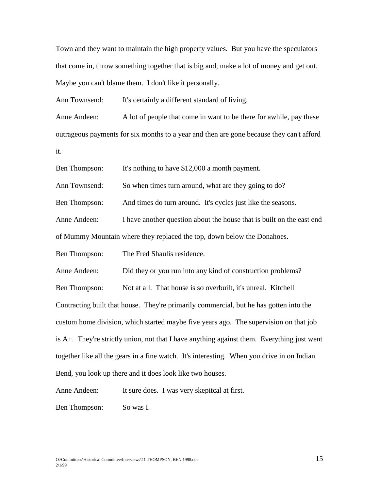Town and they want to maintain the high property values. But you have the speculators that come in, throw something together that is big and, make a lot of money and get out. Maybe you can't blame them. I don't like it personally.

Ann Townsend: It's certainly a different standard of living.

Anne Andeen: A lot of people that come in want to be there for awhile, pay these outrageous payments for six months to a year and then are gone because they can't afford it.

Ben Thompson: It's nothing to have \$12,000 a month payment.

Ann Townsend: So when times turn around, what are they going to do?

Ben Thompson: And times do turn around. It's cycles just like the seasons.

Anne Andeen: I have another question about the house that is built on the east end

of Mummy Mountain where they replaced the top, down below the Donahoes.

Ben Thompson: The Fred Shaulis residence.

Anne Andeen: Did they or you run into any kind of construction problems?

Ben Thompson: Not at all. That house is so overbuilt, it's unreal. Kitchell Contracting built that house. They're primarily commercial, but he has gotten into the custom home division, which started maybe five years ago. The supervision on that job is A+. They're strictly union, not that I have anything against them. Everything just went together like all the gears in a fine watch. It's interesting. When you drive in on Indian Bend, you look up there and it does look like two houses.

Anne Andeen: It sure does. I was very skepitcal at first.

Ben Thompson: So was I.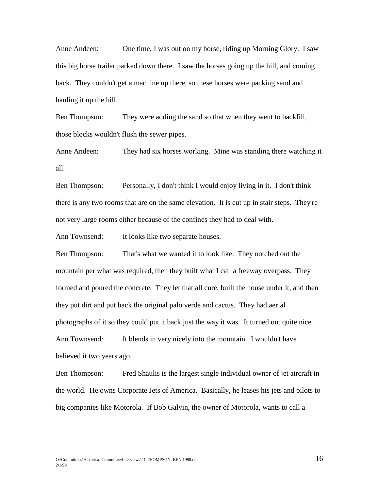Anne Andeen: One time, I was out on my horse, riding up Morning Glory. I saw this big horse trailer parked down there. I saw the horses going up the hill, and coming back. They couldn't get a machine up there, so these horses were packing sand and hauling it up the hill.

Ben Thompson: They were adding the sand so that when they went to backfill, those blocks wouldn't flush the sewer pipes.

Anne Andeen: They had six horses working. Mine was standing there watching it all.

Ben Thompson: Personally, I don't think I would enjoy living in it. I don't think there is any two rooms that are on the same elevation. It is cut up in stair steps. They're not very large rooms either because of the confines they had to deal with.

Ann Townsend: It looks like two separate houses.

Ben Thompson: That's what we wanted it to look like. They notched out the mountain per what was required, then they built what I call a freeway overpass. They formed and poured the concrete. They let that all cure, built the house under it, and then they put dirt and put back the original palo verde and cactus. They had aerial photographs of it so they could put it back just the way it was. It turned out quite nice. Ann Townsend: It blends in very nicely into the mountain. I wouldn't have believed it two years ago.

Ben Thompson: Fred Shaulis is the largest single individual owner of jet aircraft in the world. He owns Corporate Jets of America. Basically, he leases his jets and pilots to big companies like Motorola. If Bob Galvin, the owner of Motorola, wants to call a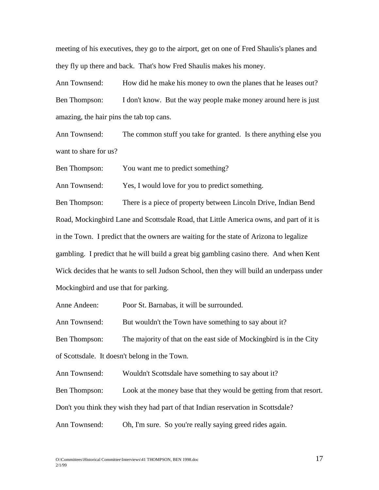meeting of his executives, they go to the airport, get on one of Fred Shaulis's planes and they fly up there and back. That's how Fred Shaulis makes his money.

Ann Townsend: How did he make his money to own the planes that he leases out? Ben Thompson: I don't know. But the way people make money around here is just amazing, the hair pins the tab top cans.

Ann Townsend: The common stuff you take for granted. Is there anything else you want to share for us?

Ben Thompson: You want me to predict something?

Ann Townsend: Yes, I would love for you to predict something.

Ben Thompson: There is a piece of property between Lincoln Drive, Indian Bend Road, Mockingbird Lane and Scottsdale Road, that Little America owns, and part of it is in the Town. I predict that the owners are waiting for the state of Arizona to legalize gambling. I predict that he will build a great big gambling casino there. And when Kent Wick decides that he wants to sell Judson School, then they will build an underpass under Mockingbird and use that for parking.

Anne Andeen: Poor St. Barnabas, it will be surrounded.

Ann Townsend: But wouldn't the Town have something to say about it?

Ben Thompson: The majority of that on the east side of Mockingbird is in the City of Scottsdale. It doesn't belong in the Town.

Ann Townsend: Wouldn't Scottsdale have something to say about it?

Ben Thompson: Look at the money base that they would be getting from that resort.

Don't you think they wish they had part of that Indian reservation in Scottsdale?

Ann Townsend: Oh, I'm sure. So you're really saying greed rides again.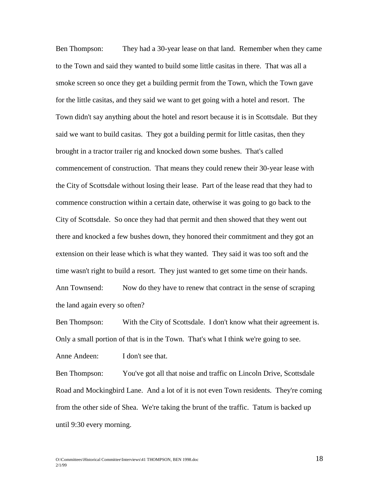Ben Thompson: They had a 30-year lease on that land. Remember when they came to the Town and said they wanted to build some little casitas in there. That was all a smoke screen so once they get a building permit from the Town, which the Town gave for the little casitas, and they said we want to get going with a hotel and resort. The Town didn't say anything about the hotel and resort because it is in Scottsdale. But they said we want to build casitas. They got a building permit for little casitas, then they brought in a tractor trailer rig and knocked down some bushes. That's called commencement of construction. That means they could renew their 30-year lease with the City of Scottsdale without losing their lease. Part of the lease read that they had to commence construction within a certain date, otherwise it was going to go back to the City of Scottsdale. So once they had that permit and then showed that they went out there and knocked a few bushes down, they honored their commitment and they got an extension on their lease which is what they wanted. They said it was too soft and the time wasn't right to build a resort. They just wanted to get some time on their hands. Ann Townsend: Now do they have to renew that contract in the sense of scraping the land again every so often?

Ben Thompson: With the City of Scottsdale. I don't know what their agreement is. Only a small portion of that is in the Town. That's what I think we're going to see.

Anne Andeen: I don't see that.

Ben Thompson: You've got all that noise and traffic on Lincoln Drive, Scottsdale Road and Mockingbird Lane. And a lot of it is not even Town residents. They're coming from the other side of Shea. We're taking the brunt of the traffic. Tatum is backed up until 9:30 every morning.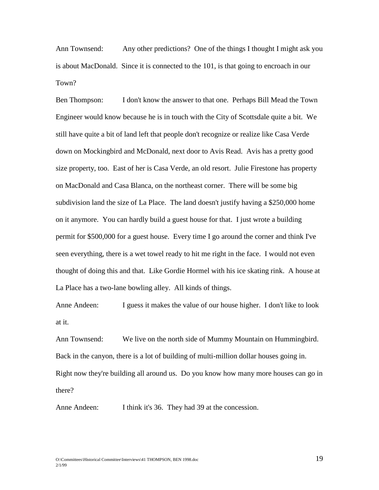Ann Townsend: Any other predictions? One of the things I thought I might ask you is about MacDonald. Since it is connected to the 101, is that going to encroach in our Town?

Ben Thompson: I don't know the answer to that one. Perhaps Bill Mead the Town Engineer would know because he is in touch with the City of Scottsdale quite a bit. We still have quite a bit of land left that people don't recognize or realize like Casa Verde down on Mockingbird and McDonald, next door to Avis Read. Avis has a pretty good size property, too. East of her is Casa Verde, an old resort. Julie Firestone has property on MacDonald and Casa Blanca, on the northeast corner. There will be some big subdivision land the size of La Place. The land doesn't justify having a \$250,000 home on it anymore. You can hardly build a guest house for that. I just wrote a building permit for \$500,000 for a guest house. Every time I go around the corner and think I've seen everything, there is a wet towel ready to hit me right in the face. I would not even thought of doing this and that. Like Gordie Hormel with his ice skating rink. A house at La Place has a two-lane bowling alley. All kinds of things.

Anne Andeen: I guess it makes the value of our house higher. I don't like to look at it.

Ann Townsend: We live on the north side of Mummy Mountain on Hummingbird. Back in the canyon, there is a lot of building of multi-million dollar houses going in. Right now they're building all around us. Do you know how many more houses can go in there?

Anne Andeen: I think it's 36. They had 39 at the concession.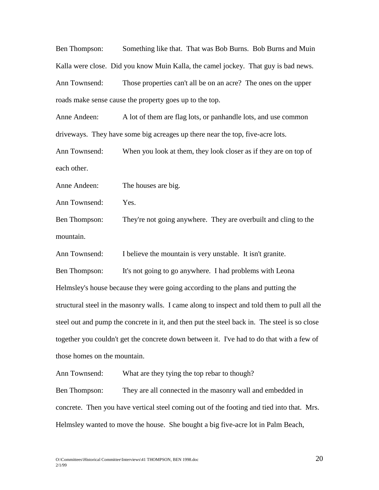Ben Thompson: Something like that. That was Bob Burns. Bob Burns and Muin Kalla were close. Did you know Muin Kalla, the camel jockey. That guy is bad news. Ann Townsend: Those properties can't all be on an acre? The ones on the upper roads make sense cause the property goes up to the top.

Anne Andeen: A lot of them are flag lots, or panhandle lots, and use common driveways. They have some big acreages up there near the top, five-acre lots.

Ann Townsend: When you look at them, they look closer as if they are on top of each other.

Anne Andeen: The houses are big.

Ann Townsend: Yes.

Ben Thompson: They're not going anywhere. They are overbuilt and cling to the mountain.

Ann Townsend: I believe the mountain is very unstable. It isn't granite.

Ben Thompson: It's not going to go anywhere. I had problems with Leona Helmsley's house because they were going according to the plans and putting the structural steel in the masonry walls. I came along to inspect and told them to pull all the steel out and pump the concrete in it, and then put the steel back in. The steel is so close together you couldn't get the concrete down between it. I've had to do that with a few of those homes on the mountain.

Ann Townsend: What are they tying the top rebar to though?

Ben Thompson: They are all connected in the masonry wall and embedded in concrete. Then you have vertical steel coming out of the footing and tied into that. Mrs. Helmsley wanted to move the house. She bought a big five-acre lot in Palm Beach,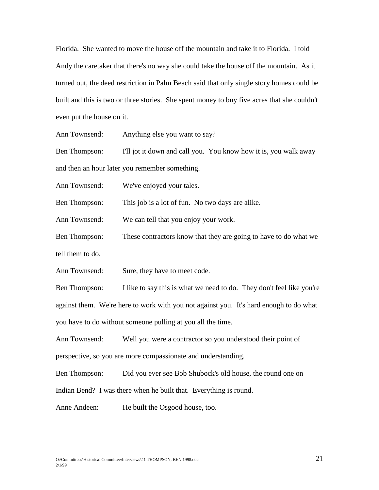Florida. She wanted to move the house off the mountain and take it to Florida. I told Andy the caretaker that there's no way she could take the house off the mountain. As it turned out, the deed restriction in Palm Beach said that only single story homes could be built and this is two or three stories. She spent money to buy five acres that she couldn't even put the house on it.

Ann Townsend: Anything else you want to say?

Ben Thompson: I'll jot it down and call you. You know how it is, you walk away and then an hour later you remember something.

Ann Townsend: We've enjoyed your tales.

Ben Thompson: This job is a lot of fun. No two days are alike.

Ann Townsend: We can tell that you enjoy your work.

Ben Thompson: These contractors know that they are going to have to do what we

tell them to do.

Ann Townsend: Sure, they have to meet code.

Ben Thompson: I like to say this is what we need to do. They don't feel like you're against them. We're here to work with you not against you. It's hard enough to do what you have to do without someone pulling at you all the time.

Ann Townsend: Well you were a contractor so you understood their point of perspective, so you are more compassionate and understanding.

Ben Thompson: Did you ever see Bob Shubock's old house, the round one on

Indian Bend? I was there when he built that. Everything is round.

Anne Andeen: He built the Osgood house, too.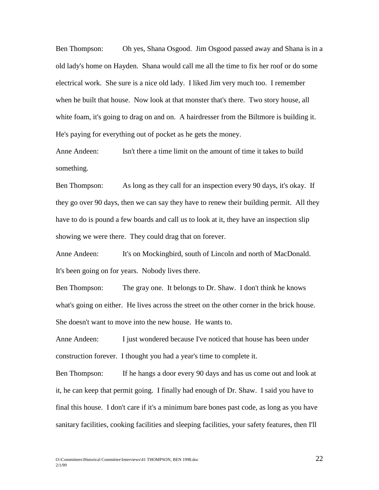Ben Thompson: Oh yes, Shana Osgood. Jim Osgood passed away and Shana is in a old lady's home on Hayden. Shana would call me all the time to fix her roof or do some electrical work. She sure is a nice old lady. I liked Jim very much too. I remember when he built that house. Now look at that monster that's there. Two story house, all white foam, it's going to drag on and on. A hairdresser from the Biltmore is building it. He's paying for everything out of pocket as he gets the money.

Anne Andeen: Isn't there a time limit on the amount of time it takes to build something.

Ben Thompson: As long as they call for an inspection every 90 days, it's okay. If they go over 90 days, then we can say they have to renew their building permit. All they have to do is pound a few boards and call us to look at it, they have an inspection slip showing we were there. They could drag that on forever.

Anne Andeen: It's on Mockingbird, south of Lincoln and north of MacDonald. It's been going on for years. Nobody lives there.

Ben Thompson: The gray one. It belongs to Dr. Shaw. I don't think he knows what's going on either. He lives across the street on the other corner in the brick house. She doesn't want to move into the new house. He wants to.

Anne Andeen: I just wondered because I've noticed that house has been under construction forever. I thought you had a year's time to complete it.

Ben Thompson: If he hangs a door every 90 days and has us come out and look at it, he can keep that permit going. I finally had enough of Dr. Shaw. I said you have to final this house. I don't care if it's a minimum bare bones past code, as long as you have sanitary facilities, cooking facilities and sleeping facilities, your safety features, then I'll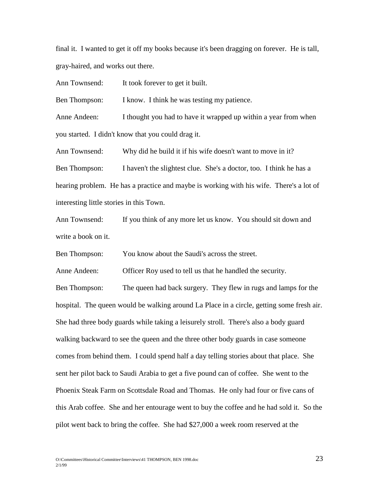final it. I wanted to get it off my books because it's been dragging on forever. He is tall, gray-haired, and works out there.

Ann Townsend: It took forever to get it built.

Ben Thompson: I know. I think he was testing my patience.

Anne Andeen: I thought you had to have it wrapped up within a year from when you started. I didn't know that you could drag it.

Ann Townsend: Why did he build it if his wife doesn't want to move in it? Ben Thompson: I haven't the slightest clue. She's a doctor, too. I think he has a hearing problem. He has a practice and maybe is working with his wife. There's a lot of interesting little stories in this Town.

Ann Townsend: If you think of any more let us know. You should sit down and write a book on it.

Ben Thompson: You know about the Saudi's across the street.

Anne Andeen: Officer Roy used to tell us that he handled the security.

Ben Thompson: The queen had back surgery. They flew in rugs and lamps for the hospital. The queen would be walking around La Place in a circle, getting some fresh air. She had three body guards while taking a leisurely stroll. There's also a body guard walking backward to see the queen and the three other body guards in case someone comes from behind them. I could spend half a day telling stories about that place. She sent her pilot back to Saudi Arabia to get a five pound can of coffee. She went to the Phoenix Steak Farm on Scottsdale Road and Thomas. He only had four or five cans of this Arab coffee. She and her entourage went to buy the coffee and he had sold it. So the pilot went back to bring the coffee. She had \$27,000 a week room reserved at the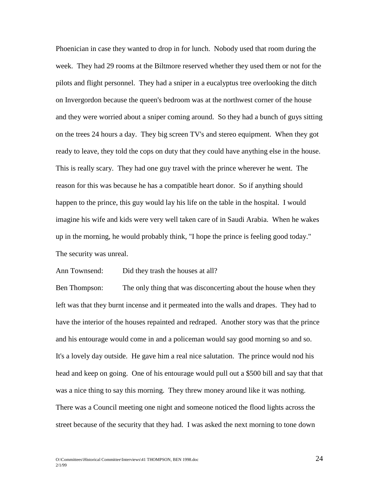Phoenician in case they wanted to drop in for lunch. Nobody used that room during the week. They had 29 rooms at the Biltmore reserved whether they used them or not for the pilots and flight personnel. They had a sniper in a eucalyptus tree overlooking the ditch on Invergordon because the queen's bedroom was at the northwest corner of the house and they were worried about a sniper coming around. So they had a bunch of guys sitting on the trees 24 hours a day. They big screen TV's and stereo equipment. When they got ready to leave, they told the cops on duty that they could have anything else in the house. This is really scary. They had one guy travel with the prince wherever he went. The reason for this was because he has a compatible heart donor. So if anything should happen to the prince, this guy would lay his life on the table in the hospital. I would imagine his wife and kids were very well taken care of in Saudi Arabia. When he wakes up in the morning, he would probably think, "I hope the prince is feeling good today." The security was unreal.

Ann Townsend: Did they trash the houses at all?

Ben Thompson: The only thing that was disconcerting about the house when they left was that they burnt incense and it permeated into the walls and drapes. They had to have the interior of the houses repainted and redraped. Another story was that the prince and his entourage would come in and a policeman would say good morning so and so. It's a lovely day outside. He gave him a real nice salutation. The prince would nod his head and keep on going. One of his entourage would pull out a \$500 bill and say that that was a nice thing to say this morning. They threw money around like it was nothing. There was a Council meeting one night and someone noticed the flood lights across the street because of the security that they had. I was asked the next morning to tone down